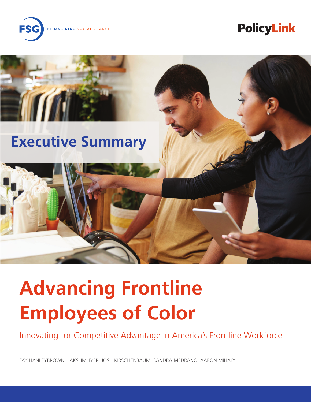REIMAGINING SOCIAL CHANGE

# **PolicyLink**



# **Executive Summary**

# **Advancing Frontline Employees of Color**

Innovating for Competitive Advantage in America's Frontline Workforce

FAY HANLEYBROWN, LAKSHMI IYER, JOSH KIRSCHENBAUM, SANDRA MEDRANO, AARON MIHALY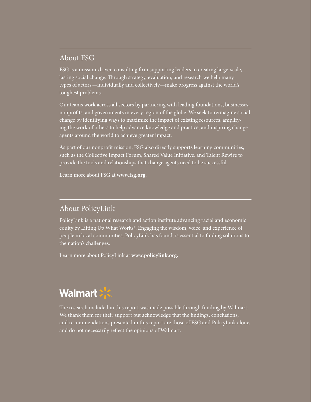### About FSG

FSG is a mission-driven consulting firm supporting leaders in creating large-scale, lasting social change. Through strategy, evaluation, and research we help many types of actors—individually and collectively—make progress against the world's toughest problems.

Our teams work across all sectors by partnering with leading foundations, businesses, nonprofits, and governments in every region of the globe. We seek to reimagine social change by identifying ways to maximize the impact of existing resources, amplifying the work of others to help advance knowledge and practice, and inspiring change agents around the world to achieve greater impact.

As part of our nonprofit mission, FSG also directly supports learning communities, such as the Collective Impact Forum, Shared Value Initiative, and Talent Rewire to provide the tools and relationships that change agents need to be successful.

Learn more about FSG at **[www.fsg.org](http://www.fsg.org).**

### About PolicyLink

PolicyLink is a national research and action institute advancing racial and economic equity by Lifting Up What Works®. Engaging the wisdom, voice, and experience of people in local communities, PolicyLink has found, is essential to finding solutions to the nation's challenges.

Learn more about PolicyLink at **[www.policylink.org](http://www.policylink.org).**

## **Walmart: SE**

The research included in this report was made possible through funding by Walmart. We thank them for their support but acknowledge that the findings, conclusions, and recommendations presented in this report are those of FSG and PolicyLink alone, and do not necessarily reflect the opinions of Walmart.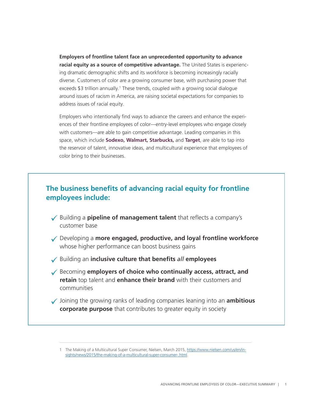**Employers of frontline talent face an unprecedented opportunity to advance racial equity as a source of competitive advantage.** The United States is experiencing dramatic demographic shifts and its workforce is becoming increasingly racially diverse. Customers of color are a growing consumer base, with purchasing power that exceeds \$3 trillion annually.<sup>1</sup> These trends, coupled with a growing social dialogue around issues of racism in America, are raising societal expectations for companies to address issues of racial equity.

Employers who intentionally find ways to advance the careers and enhance the experiences of their frontline employees of color—entry-level employees who engage closely with customers—are able to gain competitive advantage. Leading companies in this space, which include **Sodexo, Walmart, Starbucks,** and **Target**, are able to tap into the reservoir of talent, innovative ideas, and multicultural experience that employees of color bring to their businesses.

### **The business benefits of advancing racial equity for frontline employees include:**

- 9 Building a **pipeline of management talent** that reflects a company's customer base
- 9 Developing a **more engaged, productive, and loyal frontline workforce** whose higher performance can boost business gains
- 9 Building an **inclusive culture that benefits** *all* **employees**
- 9 Becoming **employers of choice who continually access, attract, and retain** top talent and **enhance their brand** with their customers and communities
- 9 Joining the growing ranks of leading companies leaning into an **ambitious corporate purpose** that contributes to greater equity in society

<sup>1</sup> The Making of a Multicultural Super Consumer, Nielsen, March 2015, [https://www.nielsen.com/us/en/in](https://www.nielsen.com/us/en/insights/news/2015/the-making-of-a-multicultural-super-consumer-.html)[sights/news/2015/the-making-of-a-multicultural-super-consumer-.html.](https://www.nielsen.com/us/en/insights/news/2015/the-making-of-a-multicultural-super-consumer-.html)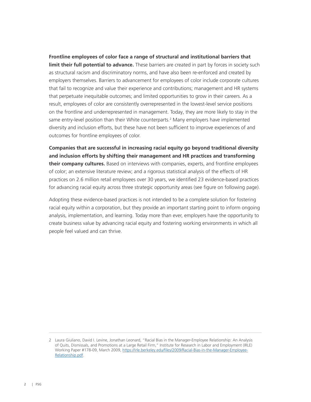**Frontline employees of color face a range of structural and institutional barriers that limit their full potential to advance.** These barriers are created in part by forces in society such as structural racism and discriminatory norms, and have also been re-enforced and created by employers themselves. Barriers to advancement for employees of color include corporate cultures that fail to recognize and value their experience and contributions; management and HR systems that perpetuate inequitable outcomes; and limited opportunities to grow in their careers. As a result, employees of color are consistently overrepresented in the lowest-level service positions on the frontline and underrepresented in management. Today, they are more likely to stay in the same entry-level position than their White counterparts.<sup>2</sup> Many employers have implemented diversity and inclusion efforts, but these have not been sufficient to improve experiences of and outcomes for frontline employees of color.

**Companies that are successful in increasing racial equity go beyond traditional diversity and inclusion efforts by shifting their management and HR practices and transforming their company cultures.** Based on interviews with companies, experts, and frontline employees of color; an extensive literature review; and a rigorous statistical analysis of the effects of HR practices on 2.6 million retail employees over 30 years, we identified 23 evidence-based practices for advancing racial equity across three strategic opportunity areas (see figure on following page).

Adopting these evidence-based practices is not intended to be a complete solution for fostering racial equity within a corporation, but they provide an important starting point to inform ongoing analysis, implementation, and learning. Today more than ever, employers have the opportunity to create business value by advancing racial equity and fostering working environments in which all people feel valued and can thrive.

<sup>2</sup> Laura Giuliano, David I. Levine, Jonathan Leonard, "Racial Bias in the Manager-Employee Relationship: An Analysis of Quits, Dismissals, and Promotions at a Large Retail Firm," Institute for Research in Labor and Employment (IRLE) Working Paper #178-09, March 2009, [https://irle.berkeley.edu/files/2009/Racial-Bias-in-the-Manager-Employee-](https://irle.berkeley.edu/files/2009/Racial-Bias-in-the-Manager-Employee-Relationship.pdf)[Relationship.pdf.](https://irle.berkeley.edu/files/2009/Racial-Bias-in-the-Manager-Employee-Relationship.pdf)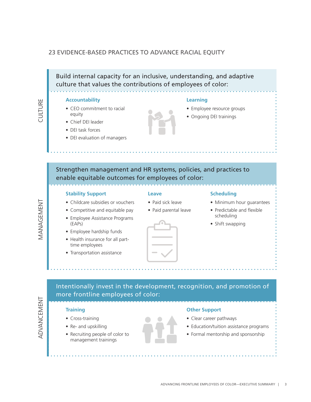### 23 EVIDENCE-BASED PRACTICES TO ADVANCE RACIAL EQUITY

Build internal capacity for an inclusive, understanding, and adaptive culture that values the contributions of employees of color:

### **Accountability**

- CEO commitment to racial equity
- Chief DEI leader
- DEI task forces
- DEI evaluation of managers

### **Learning**

- Employee resource groups
- Ongoing DEI trainings

Strengthen management and HR systems, policies, and practices to enable equitable outcomes for employees of color:

### **Stability Support**

### **Leave**

- Childcare subsidies or vouchers
- Competitive and equitable pay
- Employee Assistance Programs (EAPs)
- Employee hardship funds
- Health insurance for all parttime employees
- Transportation assistance
- 
- Paid sick leave
- Paid parental leave

### **Scheduling**

- 
- Predictable and flexible scheduling
- Shift swapping

Intentionally invest in the development, recognition, and promotion of more frontline employees of color:



MANAGEMENT

MANAGEMENT

CULTURE

CULTURE

### **Training**

- Cross-training
- Re- and upskilling
- Recruiting people of color to management trainings

### **Other Support**

- Clear career pathways
- Education/tuition assistance programs
- Formal mentorship and sponsorship

• Minimum hour guarantees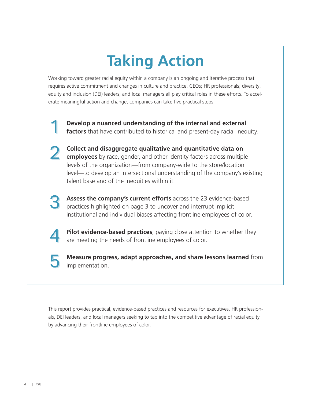# **Taking Action**

Working toward greater racial equity within a company is an ongoing and iterative process that requires active commitment and changes in culture and practice. CEOs; HR professionals; diversity, equity and inclusion (DEI) leaders; and local managers all play critical roles in these efforts. To accelerate meaningful action and change, companies can take five practical steps:

1 1 **Develop a nuanced understanding of the internal and external factors** that have contributed to historical and present-day racial inequity.

- **Collect and disaggregate qualitative and quantitative data on employees** by race, gender, and other identity factors across multiple levels of the organization—from company-wide to the store/location level—to develop an intersectional understanding of the company's existing talent base and of the inequities within it. 2 2
	- **Assess the company's current efforts** across the 23 evidence-based practices highlighted on page 3 to uncover and interrupt implicit institutional and individual biases affecting frontline employees of color.
	- **Pilot evidence-based practices**, paying close attention to whether they are meeting the needs of frontline employees of color.
- 5 5

4

4

3

3

**Measure progress, adapt approaches, and share lessons learned** from implementation.

This report provides practical, evidence-based practices and resources for executives, HR professionals, DEI leaders, and local managers seeking to tap into the competitive advantage of racial equity by advancing their frontline employees of color.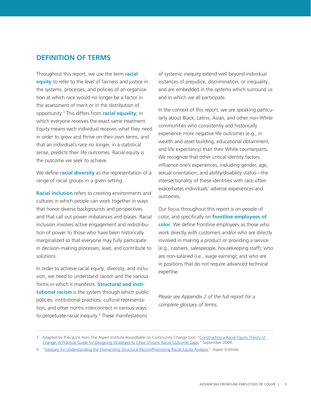### **DEFINITION OF TERMS**

Throughout this report, we use the term **racial equity** to refer to the level of fairness and justice in the systems, processes, and policies of an organization at which race would no longer be a factor in the assessment of merit or in the distribution of opportunity.3 This differs from **racial equality**, in which everyone receives the exact same treatment. Equity means each individual receives what they need in order to grow and thrive on their own terms, and that an individual's race no longer, in a statistical sense, predicts their life outcomes. Racial equity is the outcome we seek to achieve.

We define **racial diversity** as the representation of a range of racial groups in a given setting.

**Racial inclusion** refers to creating environments and cultures in which people can work together in ways that honor diverse backgrounds and perspectives and that call out power imbalances and biases. Racial inclusion involves active engagement and redistribution of power to those who have been historically marginalized so that everyone may fully participate in decision-making processes, lead, and contribute to solutions.

In order to achieve racial equity, diversity, and inclusion, we need to understand racism and the various forms in which it manifests. **Structural and institutional racism** is the system through which public policies, institutional practices, cultural representation, and other norms interconnect in various ways to perpetuate racial inequity.4 These manifestations

of systemic inequity extend well beyond individual instances of prejudice, discrimination, or inequality, and are embedded in the systems which surround us and in which we all participate.

In the context of this report, we are speaking particularly about Black, Latinx, Asian, and other non-White communities who consistently and historically experience more negative life outcomes (e.g., in wealth and asset building, educational obtainment, and life expectancy) than their White counterparts. We recognize that other critical identity factors influence one's experiences, including gender, age, sexual orientation, and ability/disability status—the intersectionality of these identities with race often exacerbates individuals' adverse experiences and outcomes.

Our focus throughout this report is on people of color, and specifically on **frontline employees of color**. We define frontline employees as those who work directly with customers and/or who are directly involved in making a product or providing a service (e.g., cashiers, salespeople, housekeeping staff); who are non-salaried (i.e., wage earning); and who are in positions that do not require advanced technical expertise.

*Please see Appendix 2 of the full report for a complete glossary of terms.*

<sup>3</sup> Adapted by PolicyLink from The Aspen Institute Roundtable on Community Change tool, "Constructing a Racial Equity Theory of [Change: A Practical Guide for Designing Strategies to Close Chronic Racial Outcome Gaps,](https://www.racialequitytools.org/resourcefiles/Roundtable on Community Change RETOC.pdf)" September 2009.

<sup>4</sup> ["Glossary for Understanding the Dismantling Structural Racism/Promoting Racial Equity Analysis,](https://assets.aspeninstitute.org/content/uploads/files/content/docs/rcc/RCC-Structural-Racism-Glossary.pdf)" Aspen Institute.